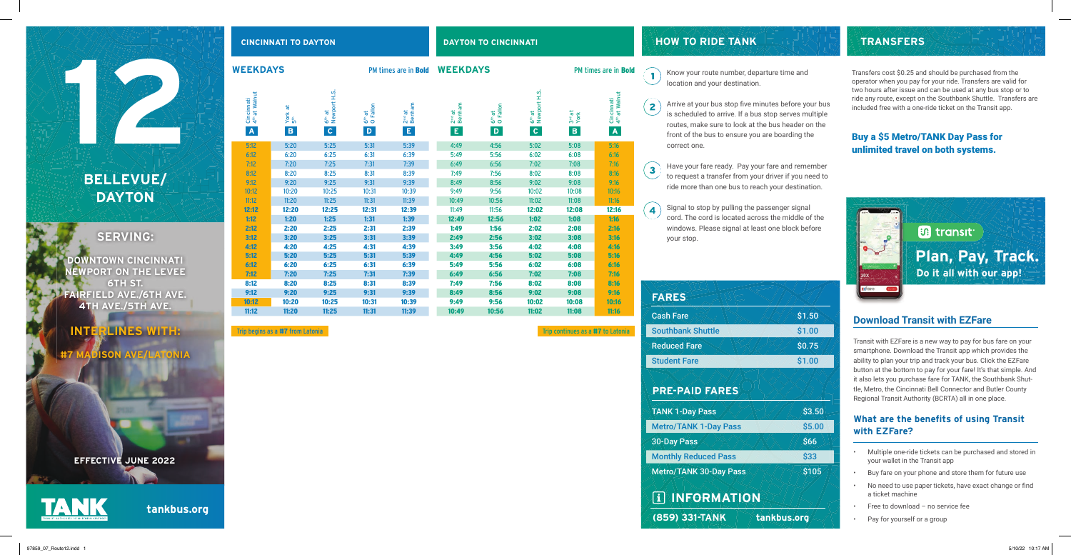## **SERVING:**

**DOWNTOWN CINCINNATI NEWPORT ON THE LEVEE 6TH ST. FAIRFIELD AVE./6TH AVE. 4TH AVE./5TH AVE.**

## **INTERLINES WITH:**

**DISON AVE/LATONIA** 

**tankbus.org**

 $\bullet$   $\bullet$  Know your route number, departure time and location and your destination.

#### **CINCINNATI TO DAYTON DAYTON TO CINCINNATI**

Arrive at your bus stop five minutes before your bus is scheduled to arrive. If a bus stop serves multiple routes, make sure to look at the bus header on the front of the bus to ensure you are boarding the

correct one.

Have your fare ready. Pay your fare and remember to request a transfer from your driver if you need to ride more than one bus to reach your destination.

Signal to stop by pulling the passenger signal cord. The cord is located across the middle of the windows. Please signal at least one block before

your stop.

**HOW TO RIDE TANK**



Transit with EZFare is a new way to pay for bus fare on your smartphone. Download the Transit app which provides the ability to plan your trip and track your bus. Click the EZFare button at the bottom to pay for your fare! It's that simple. And it also lets you purchase fare for TANK, the Southbank Shuttle, Metro, the Cincinnati Bell Connector and Butler County Regional Transit Authority (BCRTA) all in one place.

### **What are the benefits of using Transit with EZFare?**

- Multiple one-ride tickets can be purchased and stored in your wallet in the Transit app
- Buy fare on your phone and store them for future use
- No need to use paper tickets, have exact change or find a ticket machine
- Free to download no service fee
- Pay for yourself or a group



## **TRANSFERS**

## **PRE-PAID FARES**

 **INFORMATION**

Cash Fare

Southbank Shuttle

Reduced Fare

Student Fare

| <b>WEEKDAYS</b>                                                      |                                               |                                                      |                                     | PM times are in <b>Bold</b>        |                                    | <b>WEEKDAYS</b>                     |                                                    |                                            | PM times are in <b>Bold</b>                          |                                                         |
|----------------------------------------------------------------------|-----------------------------------------------|------------------------------------------------------|-------------------------------------|------------------------------------|------------------------------------|-------------------------------------|----------------------------------------------------|--------------------------------------------|------------------------------------------------------|---------------------------------------------------------|
| Cincinnati<br>4 <sup>th</sup> at Walnut<br>$\boldsymbol{\mathsf{A}}$ | York at<br>5 <sup>th</sup><br>$\, {\bf B} \,$ | 6 <sup>th</sup> at<br>Newport H.S.<br>$\overline{c}$ | 6 <sup>th</sup> at<br>O Fallon<br>D | $2nd$ at<br>Benham<br>$\mathsf{E}$ | $2nd$ at<br>Benham<br>$\mathsf{E}$ | 6 <sup>th</sup> at<br>O Fallon<br>D | 6 <sup>th</sup> at<br>Newport H.S.<br>$\mathbf{C}$ | 3 <sup>rd</sup> at<br>York<br>$\, {\bf B}$ | Cincinnati<br>4 <sup>th</sup> at Walnut<br>$\Lambda$ | Arrive<br>$\overline{2}$<br>is sch<br>routes<br>front o |
| 5:12                                                                 | 5:20                                          | 5:25                                                 | 5:31                                | 5:39                               | 4:49                               | 4:56                                | 5:02                                               | 5:08                                       | 5:16                                                 | correc                                                  |
| 6:12                                                                 | 6:20                                          | 6:25                                                 | 6:31                                | 6:39                               | 5:49                               | 5:56                                | 6:02                                               | 6:08                                       | 6:16                                                 |                                                         |
| 7:12                                                                 | 7:20                                          | 7:25                                                 | 7:31                                | 7:39                               | 6:49                               | 6:56                                | 7:02                                               | 7:08                                       | 7:16                                                 | Have y                                                  |
| 8:12                                                                 | 8:20                                          | 8:25                                                 | 8:31                                | 8:39                               | 7:49                               | 7:56                                | 8:02                                               | 8:08                                       | 8:16                                                 | 3<br>to req                                             |
| 9:12                                                                 | 9:20                                          | 9:25                                                 | 9:31                                | 9:39                               | 8:49                               | 8:56                                | 9:02                                               | 9:08                                       | 9:16                                                 | ride m                                                  |
| 10:12                                                                | 10:20                                         | 10:25                                                | 10:31                               | 10:39                              | 9:49                               | 9:56                                | 10:02                                              | 10:08                                      | 10:16                                                |                                                         |
| 11:12                                                                | 11:20                                         | 11:25                                                | 11:31                               | 11:39                              | 10:49                              | 10:56                               | 11:02                                              | 11:08                                      | 11:16                                                |                                                         |
| 12:12                                                                | 12:20                                         | 12:25                                                | 12:31                               | 12:39                              | 11:49                              | 11:56                               | 12:02                                              | 12:08                                      | 12:16                                                | Signal<br>4                                             |
| 1:12                                                                 | 1:20                                          | 1:25                                                 | 1:31                                | 1:39                               | 12:49                              | 12:56                               | 1:02                                               | 1:08                                       | 1:16                                                 | cord.                                                   |
| 2:12                                                                 | 2:20                                          | 2:25                                                 | 2:31                                | 2:39                               | 1:49                               | 1:56                                | 2:02                                               | 2:08                                       | 2:16                                                 | windo                                                   |
| 3:12                                                                 | 3:20                                          | 3:25                                                 | 3:31                                | 3:39                               | 2:49                               | 2:56                                | 3:02                                               | 3:08                                       | 3:16                                                 | your s                                                  |
| 4:12                                                                 | 4:20                                          | 4:25                                                 | 4:31                                | 4:39                               | 3:49                               | 3:56                                | 4:02                                               | 4:08                                       | 4:16                                                 |                                                         |
| 5:12                                                                 | 5:20                                          | 5:25                                                 | 5:31                                | 5:39                               | 4:49                               | 4:56                                | 5:02                                               | 5:08                                       | 5:16                                                 |                                                         |
| 6:12                                                                 | 6:20                                          | 6:25                                                 | 6:31                                | 6:39                               | 5:49                               | 5:56                                | 6:02                                               | 6:08                                       | 6:16                                                 |                                                         |
| 7:12                                                                 | 7:20                                          | 7:25                                                 | 7:31                                | 7:39                               | 6:49                               | 6:56                                | 7:02                                               | 7:08                                       | 7:16                                                 |                                                         |
| 8:12                                                                 | 8:20                                          | 8:25                                                 | 8:31                                | 8:39                               | 7:49                               | 7:56                                | 8:02                                               | 8:08                                       | 8:16                                                 |                                                         |
| 9:12                                                                 | 9:20                                          | 9:25                                                 | 9:31                                | 9:39                               | 8:49                               | 8:56                                | 9:02                                               | 9:08                                       | 9:16                                                 | <b>FARES</b>                                            |
| 10:12                                                                | 10:20                                         | 10:25                                                | 10:31                               | 10:39                              | 9:49                               | 9:56                                | 10:02                                              | 10:08                                      | 10:16                                                |                                                         |
| 11:12                                                                | 11:20                                         | 11:25                                                | 11:31                               | 11:39                              | 10:49                              | 10:56                               | 11:02                                              | 11:08                                      | 11:16                                                |                                                         |

#### Trip begins as a #7 from Latonia Trip continues as a #7 to Latonia Trip continues as a #7 to Latonia



TANK 1-Day Pass

Metro/TANK 1-Day Pass

30-Day Pass

Monthly Reduced Pass

Metro/TANK 30-Day Pass

**EFFECTIVE JUNE 2022**



Transfers cost \$0.25 and should be purchased from the operator when you pay for your ride. Transfers are valid for two hours after issue and can be used at any bus stop or to ride any route, except on the Southbank Shuttle. Transfers are included free with a one-ride ticket on the Transit app.

### Buy a \$5 Metro/TANK Day Pass for unlimited travel on both systems.

# **BELLEVUE/ DAYTON**

122

97859\_07\_Route12.indd 1 5/10/22 10:17 AM